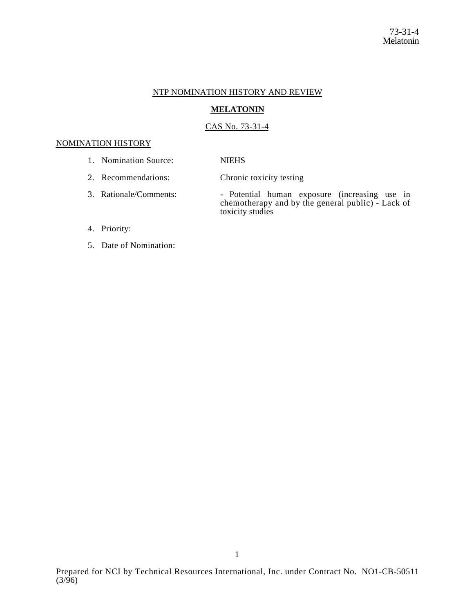## NTP NOMINATION HISTORY AND REVIEW

## **MELATONIN**

## CAS No. 73-31-4

## NOMINATION HISTORY

- 1. Nomination Source: NIEHS
- 2. Recommendations: Chronic toxicity testing
- 3. Rationale/Comments: Potential human exposure (increasing use in chemotherapy and by the general public) - Lack of toxicity studies

# 4. Priority:

5. Date of Nomination: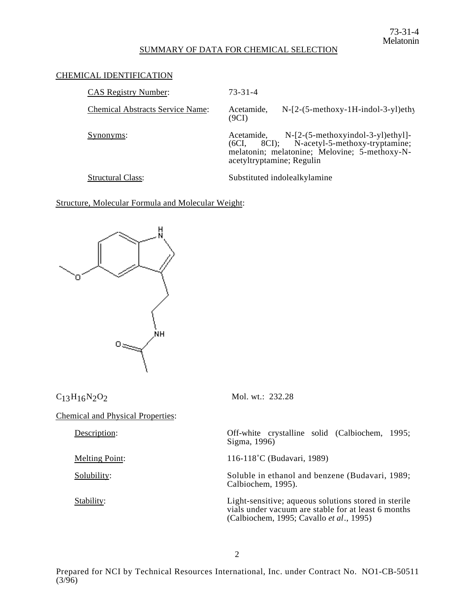## SUMMARY OF DATA FOR CHEMICAL SELECTION

#### CHEMICAL IDENTIFICATION

| <b>CAS Registry Number:</b>             | 73-31-4                                                                                                                                                                           |
|-----------------------------------------|-----------------------------------------------------------------------------------------------------------------------------------------------------------------------------------|
| <b>Chemical Abstracts Service Name:</b> | $N-[2-(5-methoxy-1H-indol-3-y])$ ethy<br>Acetamide,<br>(9CI)                                                                                                                      |
| Synonyms:                               | $N-[2-(5-methoxyindol-3-yl)ethyl]$ -<br>Acetamide.<br>8CI); N-acetyl-5-methoxy-tryptamine;<br>(6CI.<br>melatonin; melatonine; Melovine; 5-methoxy-N-<br>acetyltryptamine; Regulin |
|                                         |                                                                                                                                                                                   |

Structural Class: Substituted indolealkylamine

Structure, Molecular Formula and Molecular Weight:



 $C_{13}H_{16}N_2O_2$  Mol. wt.: 232.28

Chemical and Physical Properties:

Description: Off-white crystalline solid (Calbiochem, 1995; Sigma, 1996)

Melting Point: 116-118°C (Budavari, 1989)

Solubility: Soluble in ethanol and benzene (Budavari, 1989; Calbiochem, 1995).

Stability: Light-sensitive; aqueous solutions stored in sterile vials under vacuum are stable for at least 6 months (Calbiochem, 1995; Cavallo *et al*., 1995)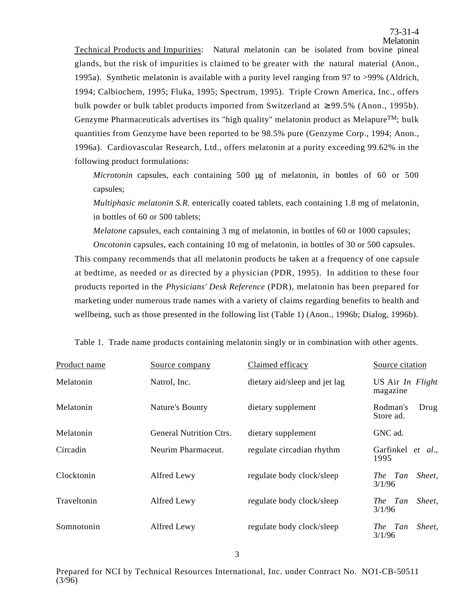Technical Products and Impurities: Natural melatonin can be isolated from bovine pineal glands, but the risk of impurities is claimed to be greater with the natural material (Anon., 1995a). Synthetic melatonin is available with a purity level ranging from 97 to >99% (Aldrich, 1994; Calbiochem, 1995; Fluka, 1995; Spectrum, 1995). Triple Crown America, Inc., offers bulk powder or bulk tablet products imported from Switzerland at 99.5% (Anon., 1995b). Genzyme Pharmaceuticals advertises its "high quality" melatonin product as Melapure<sup>TM</sup>; bulk quantities from Genzyme have been reported to be 98.5% pure (Genzyme Corp., 1994; Anon., 1996a). Cardiovascular Research, Ltd., offers melatonin at a purity exceeding 99.62% in the following product formulations:

*Microtonin* capsules, each containing 500 µg of melatonin, in bottles of 60 or 500 capsules;

*Multiphasic melatonin S.R.* enterically coated tablets, each containing 1.8 mg of melatonin, in bottles of 60 or 500 tablets;

*Melatone* capsules, each containing 3 mg of melatonin, in bottles of 60 or 1000 capsules;

*Oncotonin* capsules, each containing 10 mg of melatonin, in bottles of 30 or 500 capsules. This company recommends that all melatonin products be taken at a frequency of one capsule at bedtime, as needed or as directed by a physician (PDR, 1995). In addition to these four products reported in the *Physicians' Desk Reference* (PDR), melatonin has been prepared for marketing under numerous trade names with a variety of claims regarding benefits to health and wellbeing, such as those presented in the following list (Table 1) (Anon., 1996b; Dialog, 1996b).

| Product name | Source company                 | Claimed efficacy              | Source citation               |
|--------------|--------------------------------|-------------------------------|-------------------------------|
| Melatonin    | Natrol, Inc.                   | dietary aid/sleep and jet lag | US Air In Flight<br>magazine  |
| Melatonin    | Nature's Bounty                | dietary supplement            | Rodman's<br>Drug<br>Store ad. |
| Melatonin    | <b>General Nutrition Ctrs.</b> | dietary supplement            | GNC ad.                       |
| Circadin     | Neurim Pharmaceut.             | regulate circadian rhythm     | Garfinkel et al.,<br>1995     |
| Clocktonin   | Alfred Lewy                    | regulate body clock/sleep     | Sheet.<br>The Tan<br>3/1/96   |
| Traveltonin  | Alfred Lewy                    | regulate body clock/sleep     | Sheet,<br>The Tan<br>3/1/96   |
| Somnotonin   | Alfred Lewy                    | regulate body clock/sleep     | Sheet,<br>The Tan<br>3/1/96   |

Table 1. Trade name products containing melatonin singly or in combination with other agents.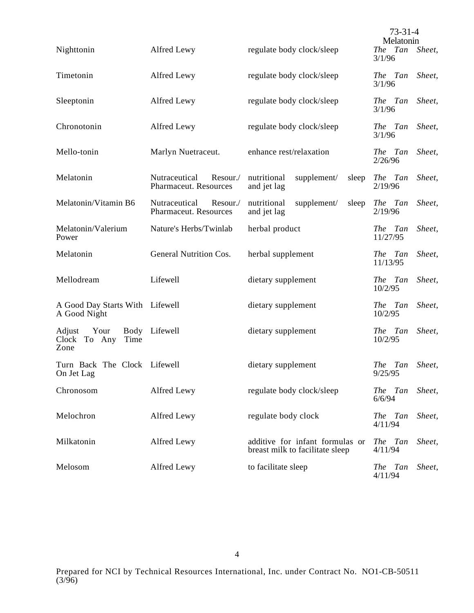|                                                 |                                                    |                                                                    | $73 - 31 - 4$<br>Melatonin |        |
|-------------------------------------------------|----------------------------------------------------|--------------------------------------------------------------------|----------------------------|--------|
| Nighttonin                                      | Alfred Lewy                                        | regulate body clock/sleep                                          | The Tan<br>3/1/96          | Sheet, |
| Timetonin                                       | Alfred Lewy                                        | regulate body clock/sleep                                          | The Tan<br>3/1/96          | Sheet, |
| Sleeptonin                                      | Alfred Lewy                                        | regulate body clock/sleep                                          | The Tan<br>3/1/96          | Sheet, |
| Chronotonin                                     | Alfred Lewy                                        | regulate body clock/sleep                                          | The Tan<br>3/1/96          | Sheet, |
| Mello-tonin                                     | Marlyn Nuetraceut.                                 | enhance rest/relaxation                                            | The Tan<br>2/26/96         | Sheet, |
| Melatonin                                       | Nutraceutical<br>Resour./<br>Pharmaceut. Resources | nutritional<br>supplement/<br>sleep<br>and jet lag                 | The Tan<br>2/19/96         | Sheet, |
| Melatonin/Vitamin B6                            | Nutraceutical<br>Resour./<br>Pharmaceut. Resources | nutritional<br>supplement/<br>sleep<br>and jet lag                 | The Tan<br>2/19/96         | Sheet, |
| Melatonin/Valerium<br>Power                     | Nature's Herbs/Twinlab                             | herbal product                                                     | The Tan<br>11/27/95        | Sheet, |
| Melatonin                                       | General Nutrition Cos.                             | herbal supplement                                                  | The Tan<br>11/13/95        | Sheet, |
| Mellodream                                      | Lifewell                                           | dietary supplement                                                 | The Tan<br>10/2/95         | Sheet, |
| A Good Day Starts With Lifewell<br>A Good Night |                                                    | dietary supplement                                                 | The Tan<br>10/2/95         | Sheet, |
| Adjust<br>Your<br>Clock To Any<br>Time<br>Zone  | Body Lifewell                                      | dietary supplement                                                 | The Tan<br>10/2/95         | Sheet, |
| Turn Back The Clock Lifewell<br>On Jet Lag      |                                                    | dietary supplement                                                 | The Tan Sheet,<br>9/25/95  |        |
| Chronosom                                       | Alfred Lewy                                        | regulate body clock/sleep                                          | The Tan<br>6/6/94          | Sheet, |
| Melochron                                       | Alfred Lewy                                        | regulate body clock                                                | The Tan<br>4/11/94         | Sheet, |
| Milkatonin                                      | Alfred Lewy                                        | additive for infant formulas or<br>breast milk to facilitate sleep | The Tan<br>4/11/94         | Sheet, |
| Melosom                                         | Alfred Lewy                                        | to facilitate sleep                                                | The Tan<br>4/11/94         | Sheet, |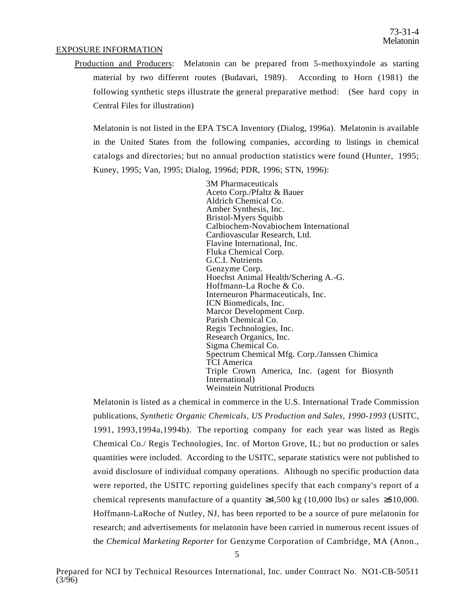## EXPOSURE INFORMATION

Production and Producers: Melatonin can be prepared from 5-methoxyindole as starting material by two different routes (Budavari, 1989). According to Horn (1981) the following synthetic steps illustrate the general preparative method: (See hard copy in Central Files for illustration)

Melatonin is not listed in the EPA TSCA Inventory (Dialog, 1996a). Melatonin is available in the United States from the following companies, according to listings in chemical catalogs and directories; but no annual production statistics were found (Hunter, 1995; Kuney, 1995; Van, 1995; Dialog, 1996d; PDR, 1996; STN, 1996):

> 3M Pharmaceuticals Aceto Corp./Pfaltz & Bauer Aldrich Chemical Co. Amber Synthesis, Inc. Bristol-Myers Squibb Bristol-Myers Squibb<br>Calbiochem-Novabiochem International Calbiochem-Novabiochem International<br>Cardiovascular Research, Ltd. Cardiovascular Research, Ltd.<br>Flavine International, Inc. Flavine International, Inc.<br>Fluka Chemical Corp. Fluka Chemical Corp.<br>G.C.I. Nutrients G.C.I. Nutrients<br>Genzyme Corp. Genzyme Corp.<br>Hoechst Animal Health/Schering A.-G. Hoechst Animal Health/Schering A.-G.<br>Hoffmann-La Roche & Co. Hoffmann-La Roche & Co.<br>Interneuron Pharmaceuticals, Inc. Interneuron Pharmaceuticals, Inc.<br>ICN Biomedicals, Inc. ICN Biomedicals, Inc.<br>Marcor Development Corp. Marcor Development Corp.<br>Parish Chemical Co. Parish Chemical Co.<br>Regis Technologies, Inc. Regis Technologies, Inc.<br>Research Organics, Inc. Research Organics, Inc.<br>Sigma Chemical Co. Sigma Chemical Co.<br>Spectrum Chemical Mfg. Corp./Janssen Chimica Spectrum Chemical Mfg. Corp./Janssen Chimica<br>TCI America TCI America<br>Triple Crown America, Inc. (agent for Biosynth Triple Crown America, Inc. (agent for Biosynth<br>International) International)<br>Weinstein Nutritional Products

Melatonin is listed as a chemical in commerce in the U.S. International Trade Commission publications, *Synthetic Organic Chemicals, US Production and Sales, 1990-1993* (USITC, 1991, 1993,1994a,1994b). The reporting company for each year was listed as Regis Chemical Co./ Regis Technologies, Inc. of Morton Grove, IL; but no production or sales quantities were included. According to the USITC, separate statistics were not published to avoid disclosure of individual company operations. Although no specific production data were reported, the USITC reporting guidelines specify that each company's report of a chemical represents manufacture of a quantity  $4,500 \text{ kg}$  (10,000 lbs) or sales \$10,000. Hoffmann-LaRoche of Nutley, NJ, has been reported to be a source of pure melatonin for research; and advertisements for melatonin have been carried in numerous recent issues of the *Chemical Marketing Reporter* for Genzyme Corporation of Cambridge, MA (Anon.,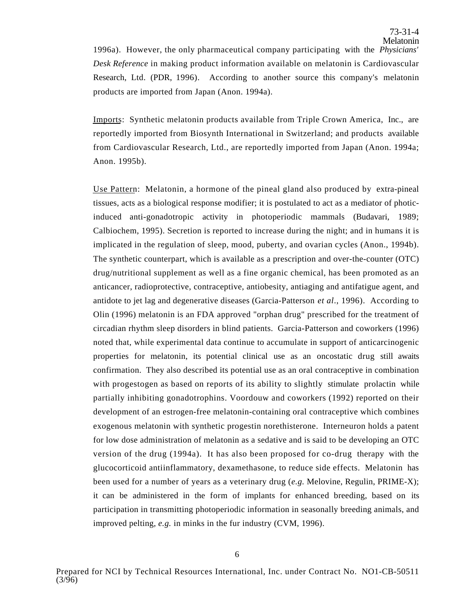1996a). However, the only pharmaceutical company participating with the *Physicians' Desk Reference* in making product information available on melatonin is Cardiovascular Research, Ltd. (PDR, 1996). According to another source this company's melatonin products are imported from Japan (Anon. 1994a).

Imports: Synthetic melatonin products available from Triple Crown America, Inc., are reportedly imported from Biosynth International in Switzerland; and products available from Cardiovascular Research, Ltd., are reportedly imported from Japan (Anon. 1994a; Anon. 1995b).

Use Pattern: Melatonin, a hormone of the pineal gland also produced by extra-pineal tissues, acts as a biological response modifier; it is postulated to act as a mediator of photicinduced anti-gonadotropic activity in photoperiodic mammals (Budavari, 1989; Calbiochem, 1995). Secretion is reported to increase during the night; and in humans it is implicated in the regulation of sleep, mood, puberty, and ovarian cycles (Anon., 1994b). The synthetic counterpart, which is available as a prescription and over-the-counter (OTC) drug/nutritional supplement as well as a fine organic chemical, has been promoted as an anticancer, radioprotective, contraceptive, antiobesity, antiaging and antifatigue agent, and antidote to jet lag and degenerative diseases (Garcia-Patterson *et al*., 1996). According to Olin (1996) melatonin is an FDA approved "orphan drug" prescribed for the treatment of circadian rhythm sleep disorders in blind patients. Garcia-Patterson and coworkers (1996) noted that, while experimental data continue to accumulate in support of anticarcinogenic properties for melatonin, its potential clinical use as an oncostatic drug still awaits confirmation. They also described its potential use as an oral contraceptive in combination with progestogen as based on reports of its ability to slightly stimulate prolactin while partially inhibiting gonadotrophins. Voordouw and coworkers (1992) reported on their development of an estrogen-free melatonin-containing oral contraceptive which combines exogenous melatonin with synthetic progestin norethisterone. Interneuron holds a patent for low dose administration of melatonin as a sedative and is said to be developing an OTC version of the drug (1994a). It has also been proposed for co-drug therapy with the glucocorticoid antiinflammatory, dexamethasone, to reduce side effects. Melatonin has been used for a number of years as a veterinary drug (*e.g.* Melovine, Regulin, PRIME-X); it can be administered in the form of implants for enhanced breeding, based on its participation in transmitting photoperiodic information in seasonally breeding animals, and improved pelting, *e.g.* in minks in the fur industry (CVM, 1996).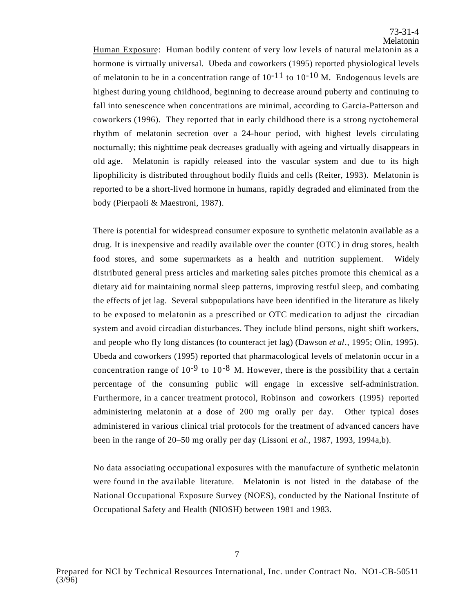Human Exposure: Human bodily content of very low levels of natural melatonin as a hormone is virtually universal. Ubeda and coworkers (1995) reported physiological levels of melatonin to be in a concentration range of  $10^{-11}$  to  $10^{-10}$  M. Endogenous levels are highest during young childhood, beginning to decrease around puberty and continuing to fall into senescence when concentrations are minimal, according to Garcia-Patterson and coworkers (1996). They reported that in early childhood there is a strong nyctohemeral rhythm of melatonin secretion over a 24-hour period, with highest levels circulating nocturnally; this nighttime peak decreases gradually with ageing and virtually disappears in old age. Melatonin is rapidly released into the vascular system and due to its high lipophilicity is distributed throughout bodily fluids and cells (Reiter, 1993). Melatonin is reported to be a short-lived hormone in humans, rapidly degraded and eliminated from the body (Pierpaoli & Maestroni, 1987).

There is potential for widespread consumer exposure to synthetic melatonin available as a drug. It is inexpensive and readily available over the counter (OTC) in drug stores, health food stores, and some supermarkets as a health and nutrition supplement. Widely distributed general press articles and marketing sales pitches promote this chemical as a dietary aid for maintaining normal sleep patterns, improving restful sleep, and combating the effects of jet lag. Several subpopulations have been identified in the literature as likely to be exposed to melatonin as a prescribed or OTC medication to adjust the circadian system and avoid circadian disturbances. They include blind persons, night shift workers, and people who fly long distances (to counteract jet lag) (Dawson *et al*., 1995; Olin, 1995). Ubeda and coworkers (1995) reported that pharmacological levels of melatonin occur in a concentration range of  $10^{-9}$  to  $10^{-8}$  M. However, there is the possibility that a certain percentage of the consuming public will engage in excessive self-administration. Furthermore, in a cancer treatment protocol, Robinson and coworkers (1995) reported administering melatonin at a dose of 200 mg orally per day. Other typical doses administered in various clinical trial protocols for the treatment of advanced cancers have been in the range of 20–50 mg orally per day (Lissoni *et al.*, 1987, 1993, 1994a,b).

No data associating occupational exposures with the manufacture of synthetic melatonin were found in the available literature. Melatonin is not listed in the database of the National Occupational Exposure Survey (NOES), conducted by the National Institute of Occupational Safety and Health (NIOSH) between 1981 and 1983.

7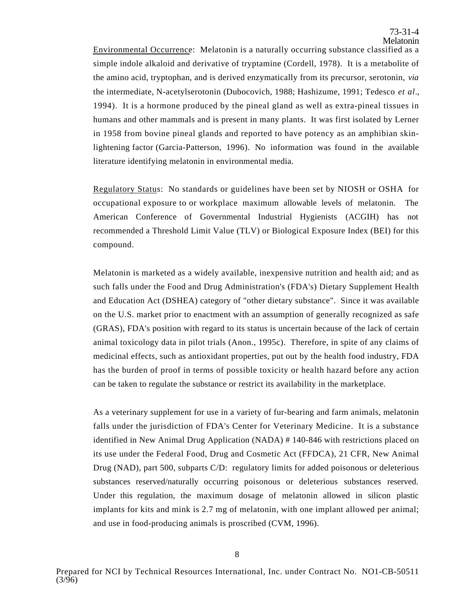Environmental Occurrence: Melatonin is a naturally occurring substance classified as a simple indole alkaloid and derivative of tryptamine (Cordell, 1978). It is a metabolite of the amino acid, tryptophan, and is derived enzymatically from its precursor, serotonin, *via*  the intermediate, N-acetylserotonin (Dubocovich, 1988; Hashizume, 1991; Tedesco *et al*., 1994). It is a hormone produced by the pineal gland as well as extra-pineal tissues in humans and other mammals and is present in many plants. It was first isolated by Lerner in 1958 from bovine pineal glands and reported to have potency as an amphibian skinlightening factor (Garcia-Patterson, 1996). No information was found in the available literature identifying melatonin in environmental media.

Regulatory Status: No standards or guidelines have been set by NIOSH or OSHA for occupational exposure to or workplace maximum allowable levels of melatonin. The American Conference of Governmental Industrial Hygienists (ACGIH) has not recommended a Threshold Limit Value (TLV) or Biological Exposure Index (BEI) for this compound.

Melatonin is marketed as a widely available, inexpensive nutrition and health aid; and as such falls under the Food and Drug Administration's (FDA's) Dietary Supplement Health and Education Act (DSHEA) category of "other dietary substance". Since it was available on the U.S. market prior to enactment with an assumption of generally recognized as safe (GRAS), FDA's position with regard to its status is uncertain because of the lack of certain animal toxicology data in pilot trials (Anon., 1995c). Therefore, in spite of any claims of medicinal effects, such as antioxidant properties, put out by the health food industry, FDA has the burden of proof in terms of possible toxicity or health hazard before any action can be taken to regulate the substance or restrict its availability in the marketplace.

As a veterinary supplement for use in a variety of fur-bearing and farm animals, melatonin falls under the jurisdiction of FDA's Center for Veterinary Medicine. It is a substance identified in New Animal Drug Application (NADA) # 140-846 with restrictions placed on its use under the Federal Food, Drug and Cosmetic Act (FFDCA), 21 CFR, New Animal Drug (NAD), part 500, subparts C/D: regulatory limits for added poisonous or deleterious substances reserved/naturally occurring poisonous or deleterious substances reserved. Under this regulation, the maximum dosage of melatonin allowed in silicon plastic implants for kits and mink is 2.7 mg of melatonin, with one implant allowed per animal; and use in food-producing animals is proscribed (CVM, 1996).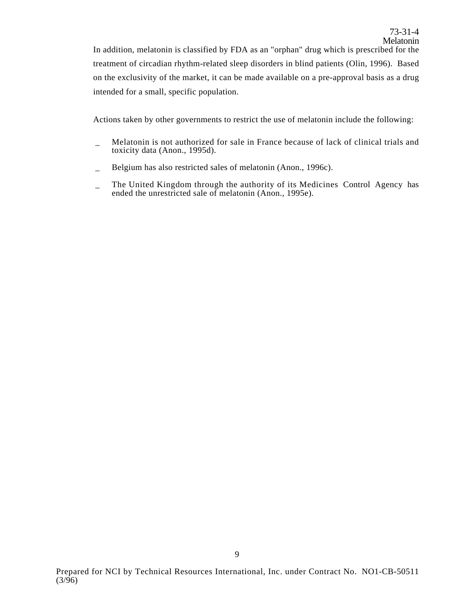In addition, melatonin is classified by FDA as an "orphan" drug which is prescribed for the treatment of circadian rhythm-related sleep disorders in blind patients (Olin, 1996). Based on the exclusivity of the market, it can be made available on a pre-approval basis as a drug intended for a small, specific population.

Actions taken by other governments to restrict the use of melatonin include the following:

- Melatonin is not authorized for sale in France because of lack of clinical trials and toxicity data (Anon., 1995d).
- \_ Belgium has also restricted sales of melatonin (Anon., 1996c).
- The United Kingdom through the authority of its Medicines Control Agency has ended the unrestricted sale of melatonin (Anon., 1995e).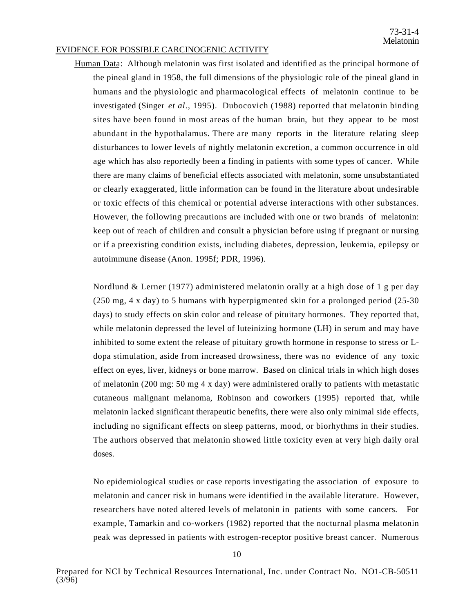#### EVIDENCE FOR POSSIBLE CARCINOGENIC ACTIVITY

Human Data: Although melatonin was first isolated and identified as the principal hormone of the pineal gland in 1958, the full dimensions of the physiologic role of the pineal gland in humans and the physiologic and pharmacological effects of melatonin continue to be investigated (Singer *et al*., 1995). Dubocovich (1988) reported that melatonin binding sites have been found in most areas of the human brain, but they appear to be most abundant in the hypothalamus. There are many reports in the literature relating sleep disturbances to lower levels of nightly melatonin excretion, a common occurrence in old age which has also reportedly been a finding in patients with some types of cancer. While there are many claims of beneficial effects associated with melatonin, some unsubstantiated or clearly exaggerated, little information can be found in the literature about undesirable or toxic effects of this chemical or potential adverse interactions with other substances. However, the following precautions are included with one or two brands of melatonin: keep out of reach of children and consult a physician before using if pregnant or nursing or if a preexisting condition exists, including diabetes, depression, leukemia, epilepsy or autoimmune disease (Anon. 1995f; PDR, 1996).

Nordlund & Lerner (1977) administered melatonin orally at a high dose of 1 g per day (250 mg, 4 x day) to 5 humans with hyperpigmented skin for a prolonged period (25-30 days) to study effects on skin color and release of pituitary hormones. They reported that, while melatonin depressed the level of luteinizing hormone (LH) in serum and may have inhibited to some extent the release of pituitary growth hormone in response to stress or Ldopa stimulation, aside from increased drowsiness, there was no evidence of any toxic effect on eyes, liver, kidneys or bone marrow. Based on clinical trials in which high doses of melatonin (200 mg: 50 mg 4 x day) were administered orally to patients with metastatic cutaneous malignant melanoma, Robinson and coworkers (1995) reported that, while melatonin lacked significant therapeutic benefits, there were also only minimal side effects, including no significant effects on sleep patterns, mood, or biorhythms in their studies. The authors observed that melatonin showed little toxicity even at very high daily oral doses.

No epidemiological studies or case reports investigating the association of exposure to melatonin and cancer risk in humans were identified in the available literature. However, researchers have noted altered levels of melatonin in patients with some cancers. For example, Tamarkin and co-workers (1982) reported that the nocturnal plasma melatonin peak was depressed in patients with estrogen-receptor positive breast cancer. Numerous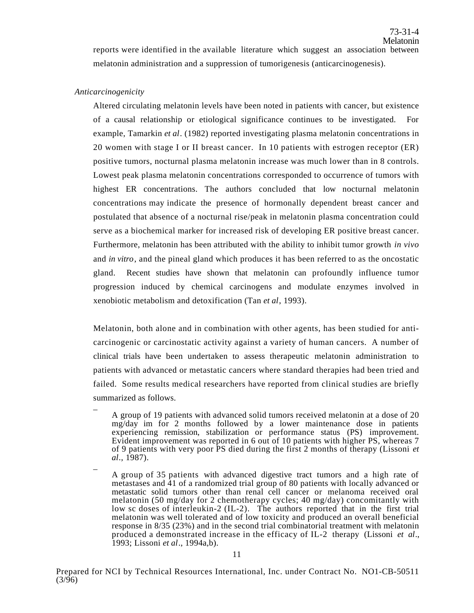reports were identified in the available literature which suggest an association between melatonin administration and a suppression of tumorigenesis (anticarcinogenesis).

#### *Anticarcinogenicity*

Altered circulating melatonin levels have been noted in patients with cancer, but existence of a causal relationship or etiological significance continues to be investigated. For example, Tamarkin *et al*. (1982) reported investigating plasma melatonin concentrations in 20 women with stage I or II breast cancer. In 10 patients with estrogen receptor (ER) positive tumors, nocturnal plasma melatonin increase was much lower than in 8 controls. Lowest peak plasma melatonin concentrations corresponded to occurrence of tumors with highest ER concentrations. The authors concluded that low nocturnal melatonin concentrations may indicate the presence of hormonally dependent breast cancer and postulated that absence of a nocturnal rise/peak in melatonin plasma concentration could serve as a biochemical marker for increased risk of developing ER positive breast cancer. Furthermore, melatonin has been attributed with the ability to inhibit tumor growth *in vivo*  and *in vitro*, and the pineal gland which produces it has been referred to as the oncostatic gland. Recent studies have shown that melatonin can profoundly influence tumor progression induced by chemical carcinogens and modulate enzymes involved in xenobiotic metabolism and detoxification (Tan *et al*, 1993).

Melatonin, both alone and in combination with other agents, has been studied for anticarcinogenic or carcinostatic activity against a variety of human cancers. A number of clinical trials have been undertaken to assess therapeutic melatonin administration to patients with advanced or metastatic cancers where standard therapies had been tried and failed. Some results medical researchers have reported from clinical studies are briefly summarized as follows.

- $\overline{a}$ A group of 19 patients with advanced solid tumors received melatonin at a dose of 20 mg/day im for 2 months followed by a lower maintenance dose in patients experiencing remission, stabilization or performance status (PS) improvement. Evident improvement was reported in 6 out of 10 patients with higher PS, whereas 7 of 9 patients with very poor PS died during the first 2 months of therapy (Lissoni *et al*., 1987).
- $\overline{a}$ A group of 35 patients with advanced digestive tract tumors and a high rate of metastases and 41 of a randomized trial group of 80 patients with locally advanced or metastatic solid tumors other than renal cell cancer or melanoma received oral melatonin (50 mg/day for 2 chemotherapy cycles; 40 mg/day) concomitantly with low sc doses of interleukin-2 (IL-2). The authors reported that in the first trial melatonin was well tolerated and of low toxicity and produced an overall beneficial response in 8/35 (23%) and in the second trial combinatorial treatment with melatonin produced a demonstrated increase in the efficacy of IL-2 therapy (Lissoni *et al*., 1993; Lissoni *et al*., 1994a,b).

Prepared for NCI by Technical Resources International, Inc. under Contract No. NO1-CB-50511 (3/96)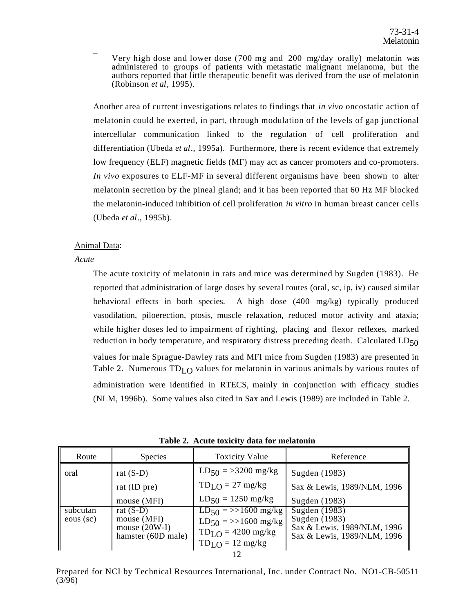$\overline{a}$ Very high dose and lower dose (700 mg and 200 mg/day orally) melatonin was administered to groups of patients with metastatic malignant melanoma, but the authors reported that little therapeutic benefit was derived from the use of melatonin (Robinson *et al*, 1995).

Another area of current investigations relates to findings that *in vivo* oncostatic action of melatonin could be exerted, in part, through modulation of the levels of gap junctional intercellular communication linked to the regulation of cell proliferation and differentiation (Ubeda *et al*., 1995a). Furthermore, there is recent evidence that extremely low frequency (ELF) magnetic fields (MF) may act as cancer promoters and co-promoters. *In vivo* exposures to ELF-MF in several different organisms have been shown to alter melatonin secretion by the pineal gland; and it has been reported that 60 Hz MF blocked the melatonin-induced inhibition of cell proliferation *in vitro* in human breast cancer cells (Ubeda *et al*., 1995b).

## Animal Data:

*Acute* 

The acute toxicity of melatonin in rats and mice was determined by Sugden (1983). He reported that administration of large doses by several routes (oral, sc, ip, iv) caused similar behavioral effects in both species. A high dose (400 mg/kg) typically produced vasodilation, piloerection, ptosis, muscle relaxation, reduced motor activity and ataxia; while higher doses led to impairment of righting, placing and flexor reflexes, marked reduction in body temperature, and respiratory distress preceding death. Calculated  $LD_{50}$ values for male Sprague-Dawley rats and MFI mice from Sugden (1983) are presented in Table 2. Numerous  $TD<sub>LO</sub>$  values for melatonin in various animals by various routes of administration were identified in RTECS, mainly in conjunction with efficacy studies (NLM, 1996b). Some values also cited in Sax and Lewis (1989) are included in Table 2.

| Route                 | <b>Species</b>                                                      | <b>Toxicity Value</b>                                                                            | Reference                                                                                    |  |  |
|-----------------------|---------------------------------------------------------------------|--------------------------------------------------------------------------------------------------|----------------------------------------------------------------------------------------------|--|--|
| oral                  | rat $(S-D)$                                                         | $LD_{50} = >3200$ mg/kg                                                                          | Sugden (1983)                                                                                |  |  |
|                       | rat (ID pre)                                                        | $TDLO = 27 mg/kg$                                                                                | Sax & Lewis, 1989/NLM, 1996                                                                  |  |  |
|                       | mouse (MFI)                                                         | $LD_{50} = 1250$ mg/kg                                                                           | Sugden (1983)                                                                                |  |  |
| subcutan<br>eous (sc) | rat $(S-D)$<br>mouse (MFI)<br>mouse $(20W-I)$<br>hamster (60D male) | $LD_{50}$ = >>1600 mg/kg<br>$LD_{50}$ = >>1600 mg/kg<br>$TDLO = 4200$ mg/kg<br>$TDLO = 12 mg/kg$ | Sugden (1983)<br>Sugden (1983)<br>Sax & Lewis, 1989/NLM, 1996<br>Sax & Lewis, 1989/NLM, 1996 |  |  |
|                       |                                                                     |                                                                                                  |                                                                                              |  |  |

**Table 2. Acute toxicity data for melatonin** 

Prepared for NCI by Technical Resources International, Inc. under Contract No. NO1-CB-50511 (3/96)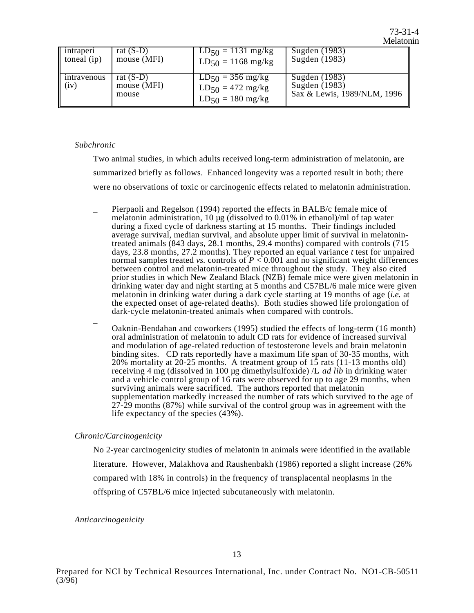| intraperi           | rat $(S-D)$                         | $LD_{50} = 1131$ mg/kg                                                          | Sugden (1983)                                                 |
|---------------------|-------------------------------------|---------------------------------------------------------------------------------|---------------------------------------------------------------|
| toneal $(ip)$       | mouse (MFI)                         | $LD_{50} = 1168$ mg/kg                                                          | Sugden (1983)                                                 |
| intravenous<br>(iv) | rat $(S-D)$<br>mouse (MFI)<br>mouse | $LD_{50} = 356$ mg/kg<br>$LD_{50} = 472 \text{ mg/kg}$<br>$LD_{50} = 180$ mg/kg | Sugden (1983)<br>Sugden (1983)<br>Sax & Lewis, 1989/NLM, 1996 |

## *Subchronic*

Two animal studies, in which adults received long-term administration of melatonin, are summarized briefly as follows. Enhanced longevity was a reported result in both; there were no observations of toxic or carcinogenic effects related to melatonin administration.

- Pierpaoli and Regelson (1994) reported the effects in BALB/c female mice of melatonin administration, 10 µg (dissolved to 0.01% in ethanol)/ml of tap water during a fixed cycle of darkness starting at 15 months. Their findings included average survival, median survival, and absolute upper limit of survival in melatonintreated animals  $(843 \text{ days}, 28.1 \text{ months}, 29.4 \text{ months})$  compared with controls  $(715 \text{ months}, 29.4 \text{ months})$ days, 23.8 months, 27.2 months). They reported an equal variance *t* test for unpaired normal samples treated *vs*. controls of  $P < 0.001$  and no significant weight differences between control and melatonin-treated mice throughout the study. They also cited prior studies in which New Zealand Black (NZB) female mice were given melatonin in drinking water day and night starting at 5 months and C57BL/6 male mice were given melatonin in drinking water during a dark cycle starting at 19 months of age (*i.e.* at the expected onset of age-related deaths). Both studies showed life prolongation of dark-cycle melatonin-treated animals when compared with controls.
- Oaknin-Bendahan and coworkers (1995) studied the effects of long-term (16 month) oral administration of melatonin to adult CD rats for evidence of increased survival and modulation of age-related reduction of testosterone levels and brain melatonin binding sites. CD rats reportedly have a maximum life span of 30-35 months, with 20% mortality at 20-25 months. A treatment group of 15 rats (11-13 months old) receiving 4 mg (dissolved in 100 µg dimethylsulfoxide) /L *ad lib* in drinking water and a vehicle control group of 16 rats were observed for up to age 29 months, when surviving animals were sacrificed. The authors reported that melatonin supplementation markedly increased the number of rats which survived to the age of  $27-29$  months (87%) while survival of the control group was in agreement with the life expectancy of the species (43%).

## *Chronic/Carcinogenicity*

No 2-year carcinogenicity studies of melatonin in animals were identified in the available literature. However, Malakhova and Raushenbakh (1986) reported a slight increase (26% compared with 18% in controls) in the frequency of transplacental neoplasms in the offspring of C57BL/6 mice injected subcutaneously with melatonin.

## *Anticarcinogenicity*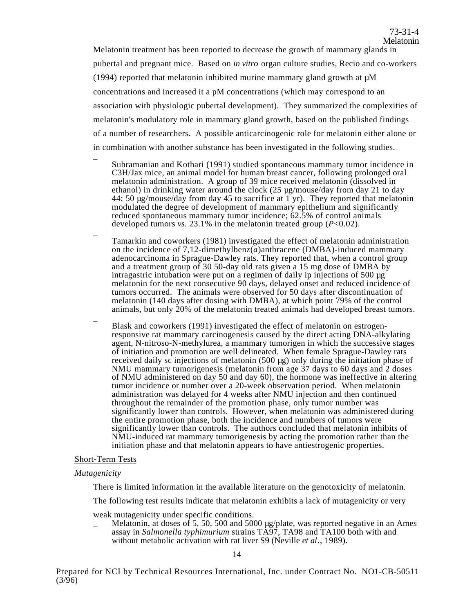Melatonin treatment has been reported to decrease the growth of mammary glands in pubertal and pregnant mice. Based on *in vitro* organ culture studies, Recio and co-workers (1994) reported that melatonin inhibited murine mammary gland growth at  $\mu$ M concentrations and increased it a pM concentrations (which may correspond to an association with physiologic pubertal development). They summarized the complexities of melatonin's modulatory role in mammary gland growth, based on the published findings of a number of researchers. A possible anticarcinogenic role for melatonin either alone or in combination with another substance has been investigated in the following studies.

- Subramanian and Kothari (1991) studied spontaneous mammary tumor incidence in C3H/Jax mice, an animal model for human breast cancer, following prolonged oral melatonin administration. A group of 39 mice received melatonin (dissolved in ethanol) in drinking water around the clock (25 µg/mouse/day from day 21 to day 44; 50 µg/mouse/day from day 45 to sacrifice at 1 yr). They reported that melatonin modulated the degree of development of mammary epithelium and significantly reduced spontaneous mammary tumor incidence; 62.5% of control animals developed tumors *vs*. 23.1% in the melatonin treated group (*P*<0.02).
- $\overline{a}$ Tamarkin and coworkers (1981) investigated the effect of melatonin administration on the incidence of 7,12-dimethylbenz(*a*)anthracene (DMBA)-induced mammary adenocarcinoma in Sprague-Dawley rats. They reported that, when a control group and a treatment group of 30 50-day old rats given a 15 mg dose of DMBA by intragastric intubation were put on a regimen of daily ip injections of 500 µg melatonin for the next consecutive 90 days, delayed onset and reduced incidence of tumors occurred. The animals were observed for 50 days after discontinuation of melatonin (140 days after dosing with DMBA), at which point 79% of the control animals, but only 20% of the melatonin treated animals had developed breast tumors.
- $\overline{a}$ Blask and coworkers (1991) investigated the effect of melatonin on estrogenresponsive rat mammary carcinogenesis caused by the direct acting DNA-alkylating agent, N-nitroso-N-methylurea, a mammary tumorigen in which the successive stages of initiation and promotion are well delineated. When female Sprague-Dawley rats received daily sc injections of melatonin (500 µg) only during the initiation phase of NMU mammary tumorigenesis (melatonin from age 37 days to 60 days and 2 doses of NMU administered on day 50 and day 60), the hormone was ineffective in altering tumor incidence or number over a 20-week observation period. When melatonin administration was delayed for 4 weeks after NMU injection and then continued throughout the remainder of the promotion phase, only tumor number was significantly lower than controls. However, when melatonin was administered during the entire promotion phase, both the incidence and numbers of tumors were significantly lower than controls. The authors concluded that melatonin inhibits of NMU-induced rat mammary tumorigenesis by acting the promotion rather than the initiation phase and that melatonin appears to have antiestrogenic properties.

#### Short-Term Tests

#### *Mutagenicity*

 $\overline{a}$ 

There is limited information in the available literature on the genotoxicity of melatonin.

The following test results indicate that melatonin exhibits a lack of mutagenicity or very

weak mutagenicity under specific conditions.

 $\mu$  Melatonin, at doses of 5, 50, 500 and 5000 µg/plate, was reported negative in an Ames assay in *Salmonella typhimurium* strains TA97, TA98 and TA100 both with and without metabolic activation with rat liver S9 (Neville *et al*., 1989).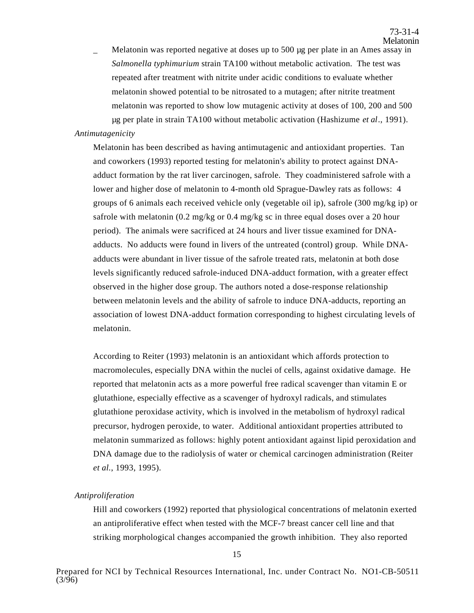Melatonin was reported negative at doses up to 500 µg per plate in an Ames assay in *Salmonella typhimurium* strain TA100 without metabolic activation. The test was repeated after treatment with nitrite under acidic conditions to evaluate whether melatonin showed potential to be nitrosated to a mutagen; after nitrite treatment melatonin was reported to show low mutagenic activity at doses of 100, 200 and 500 µg per plate in strain TA100 without metabolic activation (Hashizume *et al*., 1991).

# *Antimutagenicity*

Melatonin has been described as having antimutagenic and antioxidant properties. Tan and coworkers (1993) reported testing for melatonin's ability to protect against DNAadduct formation by the rat liver carcinogen, safrole. They coadministered safrole with a lower and higher dose of melatonin to 4-month old Sprague-Dawley rats as follows: 4 groups of 6 animals each received vehicle only (vegetable oil ip), safrole (300 mg/kg ip) or safrole with melatonin (0.2 mg/kg or 0.4 mg/kg sc in three equal doses over a 20 hour period). The animals were sacrificed at 24 hours and liver tissue examined for DNAadducts. No adducts were found in livers of the untreated (control) group. While DNAadducts were abundant in liver tissue of the safrole treated rats, melatonin at both dose levels significantly reduced safrole-induced DNA-adduct formation, with a greater effect observed in the higher dose group. The authors noted a dose-response relationship between melatonin levels and the ability of safrole to induce DNA-adducts, reporting an association of lowest DNA-adduct formation corresponding to highest circulating levels of melatonin.

According to Reiter (1993) melatonin is an antioxidant which affords protection to macromolecules, especially DNA within the nuclei of cells, against oxidative damage. He reported that melatonin acts as a more powerful free radical scavenger than vitamin E or glutathione, especially effective as a scavenger of hydroxyl radicals, and stimulates glutathione peroxidase activity, which is involved in the metabolism of hydroxyl radical precursor, hydrogen peroxide, to water. Additional antioxidant properties attributed to melatonin summarized as follows: highly potent antioxidant against lipid peroxidation and DNA damage due to the radiolysis of water or chemical carcinogen administration (Reiter *et al.*, 1993, 1995).

## *Antiproliferation*

Hill and coworkers (1992) reported that physiological concentrations of melatonin exerted an antiproliferative effect when tested with the MCF-7 breast cancer cell line and that striking morphological changes accompanied the growth inhibition. They also reported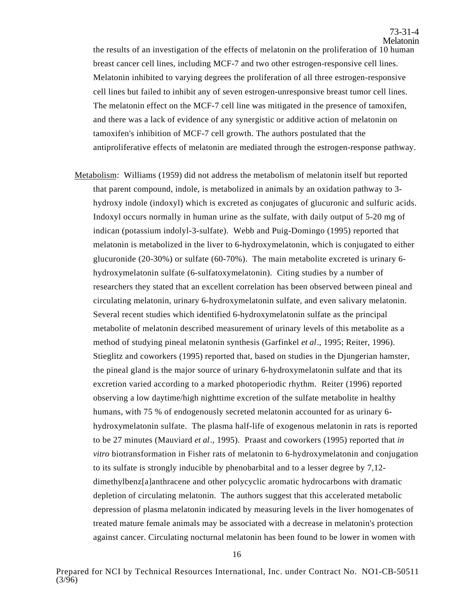the results of an investigation of the effects of melatonin on the proliferation of 10 human breast cancer cell lines, including MCF-7 and two other estrogen-responsive cell lines. Melatonin inhibited to varying degrees the proliferation of all three estrogen-responsive cell lines but failed to inhibit any of seven estrogen-unresponsive breast tumor cell lines. The melatonin effect on the MCF-7 cell line was mitigated in the presence of tamoxifen, and there was a lack of evidence of any synergistic or additive action of melatonin on tamoxifen's inhibition of MCF-7 cell growth. The authors postulated that the antiproliferative effects of melatonin are mediated through the estrogen-response pathway.

Metabolism: Williams (1959) did not address the metabolism of melatonin itself but reported that parent compound, indole, is metabolized in animals by an oxidation pathway to 3 hydroxy indole (indoxyl) which is excreted as conjugates of glucuronic and sulfuric acids. Indoxyl occurs normally in human urine as the sulfate, with daily output of 5-20 mg of indican (potassium indolyl-3-sulfate). Webb and Puig-Domingo (1995) reported that melatonin is metabolized in the liver to 6-hydroxymelatonin, which is conjugated to either glucuronide (20-30%) or sulfate (60-70%). The main metabolite excreted is urinary 6 hydroxymelatonin sulfate (6-sulfatoxymelatonin). Citing studies by a number of researchers they stated that an excellent correlation has been observed between pineal and circulating melatonin, urinary 6-hydroxymelatonin sulfate, and even salivary melatonin. Several recent studies which identified 6-hydroxymelatonin sulfate as the principal metabolite of melatonin described measurement of urinary levels of this metabolite as a method of studying pineal melatonin synthesis (Garfinkel *et al*., 1995; Reiter, 1996). Stieglitz and coworkers (1995) reported that, based on studies in the Djungerian hamster, the pineal gland is the major source of urinary 6-hydroxymelatonin sulfate and that its excretion varied according to a marked photoperiodic rhythm. Reiter (1996) reported observing a low daytime/high nighttime excretion of the sulfate metabolite in healthy humans, with 75 % of endogenously secreted melatonin accounted for as urinary 6 hydroxymelatonin sulfate. The plasma half-life of exogenous melatonin in rats is reported to be 27 minutes (Mauviard *et al*., 1995). Praast and coworkers (1995) reported that *in vitro* biotransformation in Fisher rats of melatonin to 6-hydroxymelatonin and conjugation to its sulfate is strongly inducible by phenobarbital and to a lesser degree by 7,12 dimethylbenz[a]anthracene and other polycyclic aromatic hydrocarbons with dramatic depletion of circulating melatonin. The authors suggest that this accelerated metabolic depression of plasma melatonin indicated by measuring levels in the liver homogenates of treated mature female animals may be associated with a decrease in melatonin's protection against cancer. Circulating nocturnal melatonin has been found to be lower in women with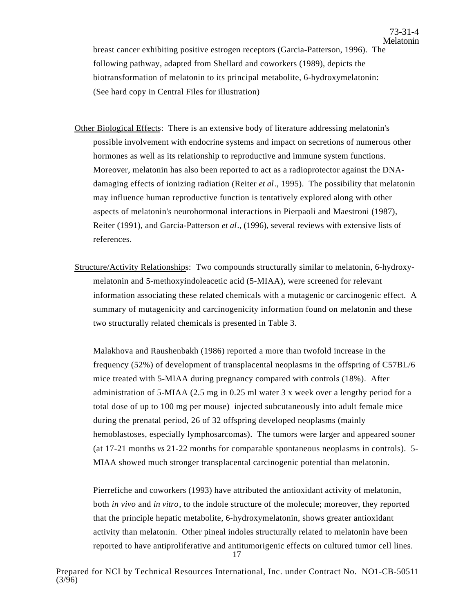breast cancer exhibiting positive estrogen receptors (Garcia-Patterson, 1996). The following pathway, adapted from Shellard and coworkers (1989), depicts the biotransformation of melatonin to its principal metabolite, 6-hydroxymelatonin: (See hard copy in Central Files for illustration)

- Other Biological Effects: There is an extensive body of literature addressing melatonin's possible involvement with endocrine systems and impact on secretions of numerous other hormones as well as its relationship to reproductive and immune system functions. Moreover, melatonin has also been reported to act as a radioprotector against the DNAdamaging effects of ionizing radiation (Reiter *et al*., 1995). The possibility that melatonin may influence human reproductive function is tentatively explored along with other aspects of melatonin's neurohormonal interactions in Pierpaoli and Maestroni (1987), Reiter (1991), and Garcia-Patterson *et al*., (1996), several reviews with extensive lists of references.
- Structure/Activity Relationships: Two compounds structurally similar to melatonin, 6-hydroxymelatonin and 5-methoxyindoleacetic acid (5-MIAA), were screened for relevant information associating these related chemicals with a mutagenic or carcinogenic effect. A summary of mutagenicity and carcinogenicity information found on melatonin and these two structurally related chemicals is presented in Table 3.

Malakhova and Raushenbakh (1986) reported a more than twofold increase in the frequency (52%) of development of transplacental neoplasms in the offspring of C57BL/6 mice treated with 5-MIAA during pregnancy compared with controls (18%). After administration of 5-MIAA (2.5 mg in 0.25 ml water 3 x week over a lengthy period for a total dose of up to 100 mg per mouse) injected subcutaneously into adult female mice during the prenatal period, 26 of 32 offspring developed neoplasms (mainly hemoblastoses, especially lymphosarcomas). The tumors were larger and appeared sooner (at 17-21 months *vs* 21-22 months for comparable spontaneous neoplasms in controls). 5- MIAA showed much stronger transplacental carcinogenic potential than melatonin.

Pierrefiche and coworkers (1993) have attributed the antioxidant activity of melatonin, both *in vivo* and *in vitro*, to the indole structure of the molecule; moreover, they reported that the principle hepatic metabolite, 6-hydroxymelatonin, shows greater antioxidant activity than melatonin. Other pineal indoles structurally related to melatonin have been reported to have antiproliferative and antitumorigenic effects on cultured tumor cell lines.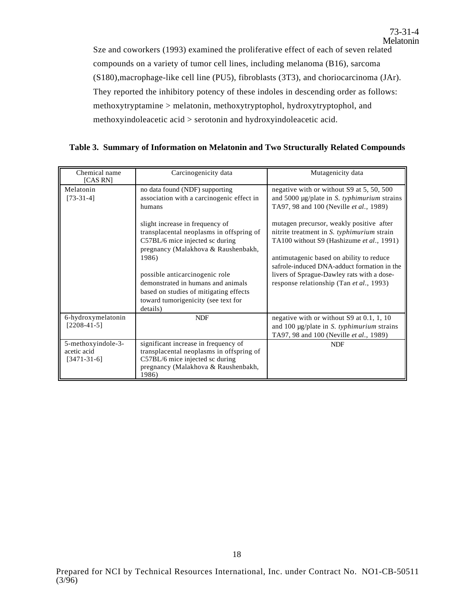Sze and coworkers (1993) examined the proliferative effect of each of seven related compounds on a variety of tumor cell lines, including melanoma (B16), sarcoma (S180),macrophage-like cell line (PU5), fibroblasts (3T3), and choriocarcinoma (JAr). They reported the inhibitory potency of these indoles in descending order as follows: methoxytryptamine > melatonin, methoxytryptophol, hydroxytryptophol, and methoxyindoleacetic acid > serotonin and hydroxyindoleacetic acid.

|  |  |  |  |  |  |  |  | Table 3. Summary of Information on Melatonin and Two Structurally Related Compounds |
|--|--|--|--|--|--|--|--|-------------------------------------------------------------------------------------|
|--|--|--|--|--|--|--|--|-------------------------------------------------------------------------------------|

| Chemical name<br>[CAS RN]                          | Carcinogenicity data                                                                                                                                                                                                                                                                                                                | Mutagenicity data                                                                                                                                                                                                                                                                                                        |  |  |
|----------------------------------------------------|-------------------------------------------------------------------------------------------------------------------------------------------------------------------------------------------------------------------------------------------------------------------------------------------------------------------------------------|--------------------------------------------------------------------------------------------------------------------------------------------------------------------------------------------------------------------------------------------------------------------------------------------------------------------------|--|--|
| Melatonin<br>$[73-31-4]$                           | no data found (NDF) supporting<br>association with a carcinogenic effect in<br>humans                                                                                                                                                                                                                                               | negative with or without S9 at 5, 50, 500<br>and 5000 $\mu$ g/plate in <i>S. typhimurium</i> strains<br>TA97, 98 and 100 (Neville et al., 1989)                                                                                                                                                                          |  |  |
|                                                    | slight increase in frequency of<br>transplacental neoplasms in offspring of<br>C57BL/6 mice injected sc during<br>pregnancy (Malakhova & Raushenbakh,<br>1986)<br>possible anticarcinogenic role<br>demonstrated in humans and animals<br>based on studies of mitigating effects<br>toward tumorigenicity (see text for<br>details) | mutagen precursor, weakly positive after<br>nitrite treatment in S. typhimurium strain<br>TA100 without S9 (Hashizume et al., 1991)<br>antimutagenic based on ability to reduce<br>safrole-induced DNA-adduct formation in the<br>livers of Sprague-Dawley rats with a dose-<br>response relationship (Tan et al., 1993) |  |  |
| 6-hydroxymelatonin<br>$[2208-41-5]$                | <b>NDF</b>                                                                                                                                                                                                                                                                                                                          | negative with or without $S9$ at 0.1, 1, 10<br>and $100 \mu g$ /plate in S. typhimurium strains<br>TA97, 98 and 100 (Neville et al., 1989)                                                                                                                                                                               |  |  |
| 5-methoxyindole-3-<br>acetic acid<br>$[3471-31-6]$ | significant increase in frequency of<br>transplacental neoplasms in offspring of<br>C57BL/6 mice injected sc during<br>pregnancy (Malakhova & Raushenbakh,<br>1986)                                                                                                                                                                 | <b>NDF</b>                                                                                                                                                                                                                                                                                                               |  |  |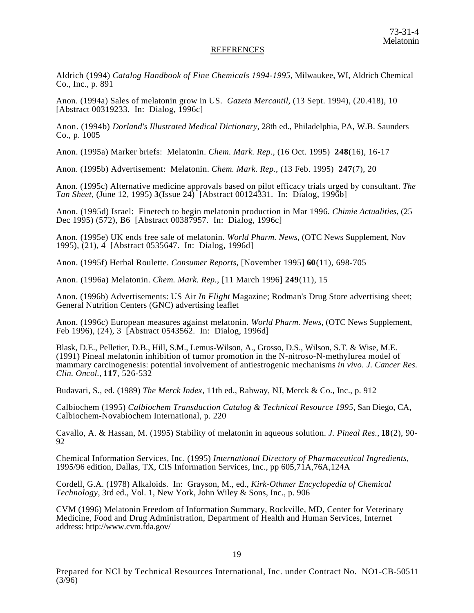#### REFERENCES

Aldrich (1994) *Catalog Handbook of Fine Chemicals 1994-1995*, Milwaukee, WI, Aldrich Chemical Co., Inc., p. 891

Anon. (1994a) Sales of melatonin grow in US. *Gazeta Mercantil*, (13 Sept. 1994), (20.418), 10 [Abstract 00319233. In: Dialog, 1996c]

Anon. (1994b) *Dorland's Illustrated Medical Dictionary*, 28th ed., Philadelphia, PA, W.B. Saunders Co., p. 1005

Anon. (1995a) Marker briefs: Melatonin. *Chem. Mark. Rep.*, (16 Oct. 1995) **248**(16), 16-17

Anon. (1995b) Advertisement: Melatonin. *Chem. Mark. Rep.*, (13 Feb. 1995) **247**(7), 20

Anon. (1995c) Alternative medicine approvals based on pilot efficacy trials urged by consultant. *The Tan Sheet*, (June 12, 1995) **3**(Issue 24) [Abstract 00124331. In: Dialog, 1996b]

Anon. (1995d) Israel: Finetech to begin melatonin production in Mar 1996. *Chimie Actualities*, (25 Dec 1995) (572), B6 [Abstract 00387957. In: Dialog, 1996c]

Anon. (1995e) UK ends free sale of melatonin. *World Pharm. News*, (OTC News Supplement, Nov 1995), (21), 4 [Abstract 0535647. In: Dialog, 1996d]

Anon. (1995f) Herbal Roulette. *Consumer Reports*, [November 1995] **60**(11), 698-705

Anon. (1996a) Melatonin. *Chem. Mark. Rep.*, [11 March 1996] **249**(11), 15

Anon. (1996b) Advertisements: US Air *In Flight* Magazine; Rodman's Drug Store advertising sheet; General Nutrition Centers (GNC) advertising leaflet

Anon. (1996c) European measures against melatonin. *World Pharm. News*, (OTC News Supplement, Feb 1996), (24), 3 [Abstract 0543562. In: Dialog, 1996d]

Blask, D.E., Pelletier, D.B., Hill, S.M., Lemus-Wilson, A., Grosso, D.S., Wilson, S.T. & Wise, M.E. (1991) Pineal melatonin inhibition of tumor promotion in the N-nitroso-N-methylurea model of mammary carcinogenesis: potential involvement of antiestrogenic mechanisms *in vivo*. *J. Cancer Res. Clin. Oncol.*, **117**, 526-532

Budavari, S., ed. (1989) *The Merck Index*, 11th ed., Rahway, NJ, Merck & Co., Inc., p. 912

Calbiochem (1995) *Calbiochem Transduction Catalog & Technical Resource 1995*, San Diego, CA, Calbiochem-Novabiochem International, p. 220

Cavallo, A. & Hassan, M. (1995) Stability of melatonin in aqueous solution. *J. Pineal Res.*, **18**(2), 90- 92

Chemical Information Services, Inc. (1995) *International Directory of Pharmaceutical Ingredients*, 1995/96 edition, Dallas, TX, CIS Information Services, Inc., pp 605,71A,76A,124A

Cordell, G.A. (1978) Alkaloids. In: Grayson, M., ed., *Kirk-Othmer Encyclopedia of Chemical Technology*, 3rd ed., Vol. 1, New York, John Wiley & Sons, Inc., p. 906

CVM (1996) Melatonin Freedom of Information Summary, Rockville, MD, Center for Veterinary Medicine, Food and Drug Administration, Department of Health and Human Services, Internet address: http://www.cvm.fda.gov/

Prepared for NCI by Technical Resources International, Inc. under Contract No. NO1-CB-50511  $(3/\overline{96})$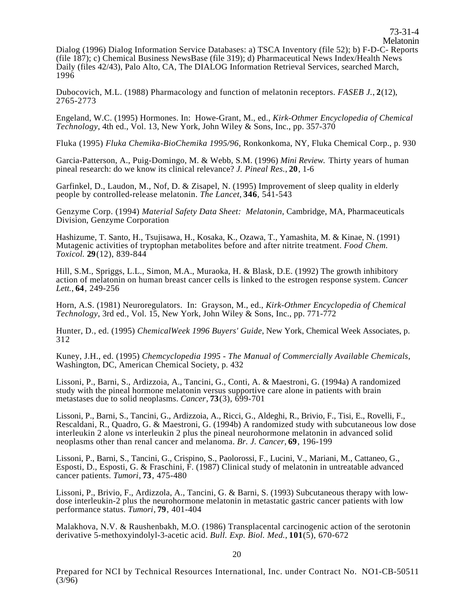Melatonin Dialog (1996) Dialog Information Service Databases: a) TSCA Inventory (file 52); b) F-D-C- Reports (file 187); c) Chemical Business NewsBase (file 319); d) Pharmaceutical News Index/Health News Daily (files 42/43), Palo Alto, CA, The DIALOG Information Retrieval Services, searched March, 1996

73-31-4

Dubocovich, M.L. (1988) Pharmacology and function of melatonin receptors. *FASEB J.*, **2**(12), 2765-2773

Engeland, W.C. (1995) Hormones. In: Howe-Grant, M., ed., *Kirk-Othmer Encyclopedia of Chemical Technology*, 4th ed., Vol. 13, New York, John Wiley & Sons, Inc., pp. 357-370

Fluka (1995) *Fluka Chemika-BioChemika 1995/96*, Ronkonkoma, NY, Fluka Chemical Corp., p. 930

Garcia-Patterson, A., Puig-Domingo, M. & Webb, S.M. (1996) *Mini Review.* Thirty years of human pineal research: do we know its clinical relevance? *J. Pineal Res.*, **20**, 1-6

Garfinkel, D., Laudon, M., Nof, D. & Zisapel, N. (1995) Improvement of sleep quality in elderly people by controlled-release melatonin. *The Lancet*, **346**, 541-543

Genzyme Corp. (1994) *Material Safety Data Sheet: Melatonin*, Cambridge, MA, Pharmaceuticals Division, Genzyme Corporation

Hashizume, T. Santo, H., Tsujisawa, H., Kosaka, K., Ozawa, T., Yamashita, M. & Kinae, N. (1991) Mutagenic activities of tryptophan metabolites before and after nitrite treatment. *Food Chem. Toxicol.* **29**(12), 839-844

Hill, S.M., Spriggs, L.L., Simon, M.A., Muraoka, H. & Blask, D.E. (1992) The growth inhibitory action of melatonin on human breast cancer cells is linked to the estrogen response system. *Cancer Lett.*, **64**, 249-256

Horn, A.S. (1981) Neuroregulators. In: Grayson, M., ed., *Kirk-Othmer Encyclopedia of Chemical Technology*, 3rd ed., Vol. 15, New York, John Wiley & Sons, Inc., pp. 771-772

Hunter, D., ed. (1995) *ChemicalWeek 1996 Buyers' Guide*, New York, Chemical Week Associates, p. 312

Kuney, J.H., ed. (1995) *Chemcyclopedia 1995 - The Manual of Commercially Available Chemicals*, Washington, DC, American Chemical Society, p. 432

Lissoni, P., Barni, S., Ardizzoia, A., Tancini, G., Conti, A. & Maestroni, G. (1994a) A randomized study with the pineal hormone melatonin versus supportive care alone in patients with brain metastases due to solid neoplasms. *Cancer*, **73**(3), 699-701

Lissoni, P., Barni, S., Tancini, G., Ardizzoia, A., Ricci, G., Aldeghi, R., Brivio, F., Tisi, E., Rovelli, F., Rescaldani, R., Quadro, G. & Maestroni, G. (1994b) A randomized study with subcutaneous low dose interleukin 2 alone *vs* interleukin 2 plus the pineal neurohormone melatonin in advanced solid neoplasms other than renal cancer and melanoma. *Br. J. Cancer*, **69**, 196-199

Lissoni, P., Barni, S., Tancini, G., Crispino, S., Paolorossi, F., Lucini, V., Mariani, M., Cattaneo, G., Esposti, D., Esposti, G. & Fraschini, F. (1987) Clinical study of melatonin in untreatable advanced cancer patients. *Tumori*, **73**, 475-480

Lissoni, P., Brivio, F., Ardizzola, A., Tancini, G. & Barni, S. (1993) Subcutaneous therapy with lowdose interleukin-2 plus the neurohormone melatonin in metastatic gastric cancer patients with low performance status. *Tumori*, **79**, 401-404

Malakhova, N.V. & Raushenbakh, M.O. (1986) Transplacental carcinogenic action of the serotonin derivative 5-methoxyindolyl-3-acetic acid. *Bull. Exp. Biol. Med.*, **101**(5), 670-672

Prepared for NCI by Technical Resources International, Inc. under Contract No. NO1-CB-50511 (3/96)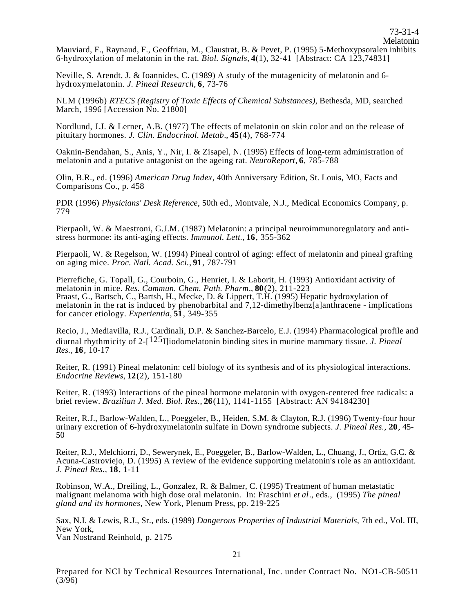Mauviard, F., Raynaud, F., Geoffriau, M., Claustrat, B. & Pevet, P. (1995) 5-Methoxypsoralen inhibits 6-hydroxylation of melatonin in the rat. *Biol. Signals*, **4**(1), 32-41 [Abstract: CA 123,74831]

Neville, S. Arendt, J. & Ioannides, C. (1989) A study of the mutagenicity of melatonin and 6- hydroxymelatonin. *J. Pineal Research*, **6**, 73-76

NLM (1996b) *RTECS (Registry of Toxic Effects of Chemical Substances)*, Bethesda, MD, searched March, 1996 [Accession No. 21800]

Nordlund, J.J. & Lerner, A.B. (1977) The effects of melatonin on skin color and on the release of pituitary hormones. *J. Clin. Endocrinol. Metab*., **45**(4), 768-774

Oaknin-Bendahan, S., Anis, Y., Nir, I. & Zisapel, N. (1995) Effects of long-term administration of melatonin and a putative antagonist on the ageing rat. *NeuroReport*, **6**, 785-788

Olin, B.R., ed. (1996) *American Drug Index*, 40th Anniversary Edition, St. Louis, MO, Facts and Comparisons Co., p. 458

PDR (1996) *Physicians' Desk Reference*, 50th ed., Montvale, N.J., Medical Economics Company, p. 779

Pierpaoli, W. & Maestroni, G.J.M. (1987) Melatonin: a principal neuroimmunoregulatory and anti- stress hormone: its anti-aging effects. *Immunol. Lett.*, **16**, 355-362

Pierpaoli, W. & Regelson, W. (1994) Pineal control of aging: effect of melatonin and pineal grafting on aging mice. *Proc. Natl. Acad. Sci.*, **91**, 787-791

Pierrefiche, G. Topall, G., Courboin, G., Henriet, I. & Laborit, H. (1993) Antioxidant activity of melatonin in mice. *Res. Cammun. Chem. Path. Pharm*., **80**(2), 211-223 Praast, G., Bartsch, C., Bartsh, H., Mecke, D. & Lippert, T.H. (1995) Hepatic hydroxylation of melatonin in the rat is induced by phenobarbital and 7,12-dimethylbenz[a]anthracene - implications for cancer etiology. *Experientia*, **51**, 349-355

Recio, J., Mediavilla, R.J., Cardinali, D.P. & Sanchez-Barcelo, E.J. (1994) Pharmacological profile and diurnal rhythmicity of 2-[125I]iodomelatonin binding sites in murine mammary tissue. *J. Pineal Res.*, **16**, 10-17

Reiter, R. (1991) Pineal melatonin: cell biology of its synthesis and of its physiological interactions. *Endocrine Reviews*, **12**(2), 151-180

Reiter, R. (1993) Interactions of the pineal hormone melatonin with oxygen-centered free radicals: a brief review. *Brazilian J. Med. Biol. Res.*, **26**(11), 1141-1155 [Abstract: AN 94184230]

Reiter, R.J., Barlow-Walden, L., Poeggeler, B., Heiden, S.M. & Clayton, R.J. (1996) Twenty-four hour urinary excretion of 6-hydroxymelatonin sulfate in Down syndrome subjects. *J. Pineal Res.,* **20**, 45- <sup>50</sup>

Reiter, R.J., Melchiorri, D., Sewerynek, E., Poeggeler, B., Barlow-Walden, L., Chuang, J., Ortiz, G.C. & Acuna-Castroviejo, D. (1995) A review of the evidence supporting melatonin's role as an antioxidant. *J. Pineal Res.,* **18**, 1-11

Robinson, W.A., Dreiling, L., Gonzalez, R. & Balmer, C. (1995) Treatment of human metastatic malignant melanoma with high dose oral melatonin. In: Fraschini *et al*., eds., (1995) *The pineal gland and its hormones*, New York, Plenum Press, pp. 219-225

Sax, N.I. & Lewis, R.J., Sr., eds. (1989) *Dangerous Properties of Industrial Materials*, 7th ed., Vol. III, New York, New York,<br>Van Nostrand Reinhold, p. 2175

Prepared for NCI by Technical Resources International, Inc. under Contract No. NO1-CB-50511 (3/96)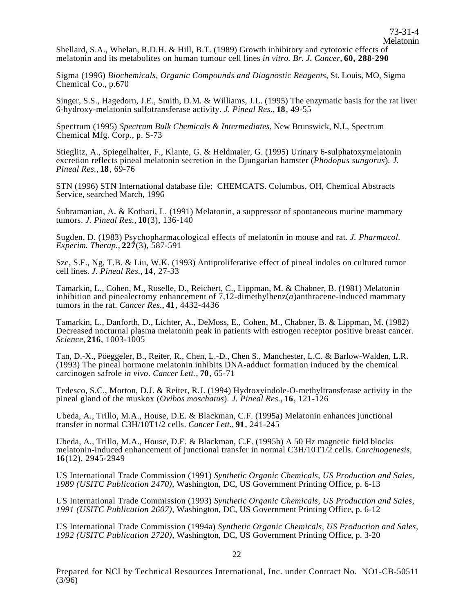Shellard, S.A., Whelan, R.D.H. & Hill, B.T. (1989) Growth inhibitory and cytotoxic effects of melatonin and its metabolites on human tumour cell lines *in vitro. Br. J. Cancer*, **60, 288-290** 

Sigma (1996) *Biochemicals, Organic Compounds and Diagnostic Reagents*, St. Louis, MO, Sigma Chemical Co., p.670

Singer, S.S., Hagedorn, J.E., Smith, D.M. & Williams, J.L. (1995) The enzymatic basis for the rat liver 6-hydroxy-melatonin sulfotransferase activity. *J. Pineal Res.*, **18**, 49-55

Spectrum (1995) *Spectrum Bulk Chemicals & Intermediates*, New Brunswick, N.J., Spectrum Chemical Mfg. Corp., p. S-73

Stieglitz, A., Spiegelhalter, F., Klante, G. & Heldmaier, G. (1995) Urinary 6-sulphatoxymelatonin excretion reflects pineal melatonin secretion in the Djungarian hamster (*Phodopus sungorus*). *J. Pineal Res.*, **18**, 69-76

STN (1996) STN International database file: CHEMCATS. Columbus, OH, Chemical Abstracts Service, searched March, 1996

Subramanian, A. & Kothari, L. (1991) Melatonin, a suppressor of spontaneous murine mammary tumors. *J. Pineal Res.*, **10**(3), 136-140

Sugden, D. (1983) Psychopharmacological effects of melatonin in mouse and rat. *J. Pharmacol. Experim. Therap.*, **227**(3), 587-591

Sze, S.F., Ng, T.B. & Liu, W.K. (1993) Antiproliferative effect of pineal indoles on cultured tumor cell lines. *J. Pineal Res.*, **14**, 27-33

Tamarkin, L., Cohen, M., Roselle, D., Reichert, C., Lippman, M. & Chabner, B. (1981) Melatonin inhibition and pinealectomy enhancement of 7,12-dimethylbenz(*a*)anthracene-induced mammary tumors in the rat. *Cancer Res.*, **41**, 4432-4436

Tamarkin, L., Danforth, D., Lichter, A., DeMoss, E., Cohen, M., Chabner, B. & Lippman, M. (1982) Decreased nocturnal plasma melatonin peak in patients with estrogen receptor positive breast cancer. *Science*, **216**, 1003-1005

Tan, D.-X., Pöeggeler, B., Reiter, R., Chen, L.-D., Chen S., Manchester, L.C. & Barlow-Walden, L.R. (1993) The pineal hormone melatonin inhibits DNA-adduct formation induced by the chemical carcinogen safrole *in vivo*. *Cancer Lett*., **70**, 65-71

Tedesco, S.C., Morton, D.J. & Reiter, R.J. (1994) Hydroxyindole-O-methyltransferase activity in the pineal gland of the muskox (*Ovibos moschatus*). *J. Pineal Res.*, **16**, 121-126

Ubeda, A., Trillo, M.A., House, D.E. & Blackman, C.F. (1995a) Melatonin enhances junctional transfer in normal C3H/10T1/2 cells. *Cancer Lett.*, **91**, 241-245

Ubeda, A., Trillo, M.A., House, D.E. & Blackman, C.F. (1995b) A 50 Hz magnetic field blocks melatonin-induced enhancement of junctional transfer in normal C3H/10T1/2 cells. *Carcinogenesis*, **16**(12), 2945-2949

US International Trade Commission (1991) *Synthetic Organic Chemicals, US Production and Sales, 1989 (USITC Publication 2470)*, Washington, DC, US Government Printing Office, p. 6-13

US International Trade Commission (1993) *Synthetic Organic Chemicals, US Production and Sales, 1991 (USITC Publication 2607)*, Washington, DC, US Government Printing Office, p. 6-12

US International Trade Commission (1994a) *Synthetic Organic Chemicals, US Production and Sales, 1992 (USITC Publication 2720)*, Washington, DC, US Government Printing Office, p. 3-20

Prepared for NCI by Technical Resources International, Inc. under Contract No. NO1-CB-50511  $(3/\overline{96})$